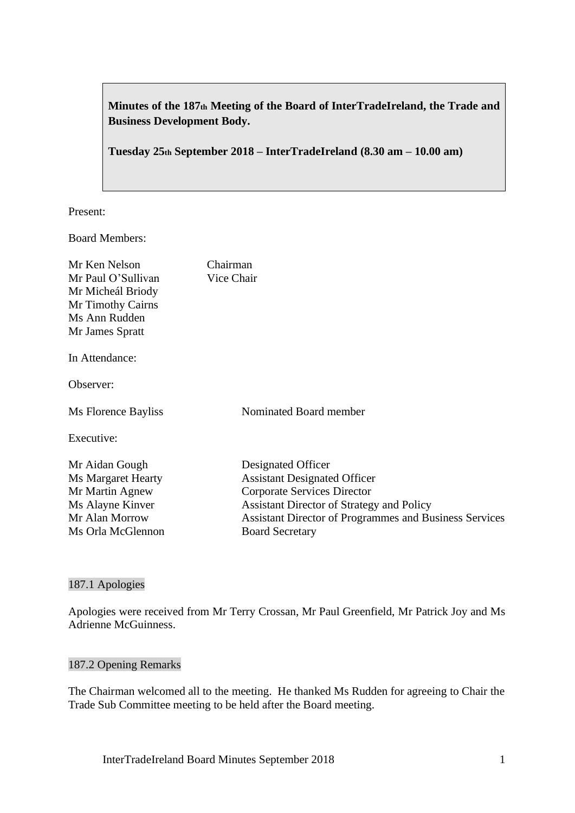**Minutes of the 187th Meeting of the Board of InterTradeIreland, the Trade and Business Development Body.**

# **Tuesday 25th September 2018 – InterTradeIreland (8.30 am – 10.00 am)**

Present:

Board Members:

| Mr Ken Nelson               | Chairman                                                      |
|-----------------------------|---------------------------------------------------------------|
| Mr Paul O'Sullivan          | Vice Chair                                                    |
| Mr Micheál Briody           |                                                               |
| Mr Timothy Cairns           |                                                               |
| Ms Ann Rudden               |                                                               |
| Mr James Spratt             |                                                               |
| In Attendance:<br>Observer: |                                                               |
|                             |                                                               |
| Ms Florence Bayliss         | Nominated Board member                                        |
| Executive:                  |                                                               |
| Mr Aidan Gough              | Designated Officer                                            |
| <b>Ms Margaret Hearty</b>   | <b>Assistant Designated Officer</b>                           |
| Mr Martin Agnew             | Corporate Services Director                                   |
| Ms Alayne Kinver            | <b>Assistant Director of Strategy and Policy</b>              |
| Mr Alan Morrow              | <b>Assistant Director of Programmes and Business Services</b> |
| Ms Orla McGlennon           | <b>Board Secretary</b>                                        |

### 187.1 Apologies

Apologies were received from Mr Terry Crossan, Mr Paul Greenfield, Mr Patrick Joy and Ms Adrienne McGuinness.

#### 187.2 Opening Remarks

The Chairman welcomed all to the meeting. He thanked Ms Rudden for agreeing to Chair the Trade Sub Committee meeting to be held after the Board meeting.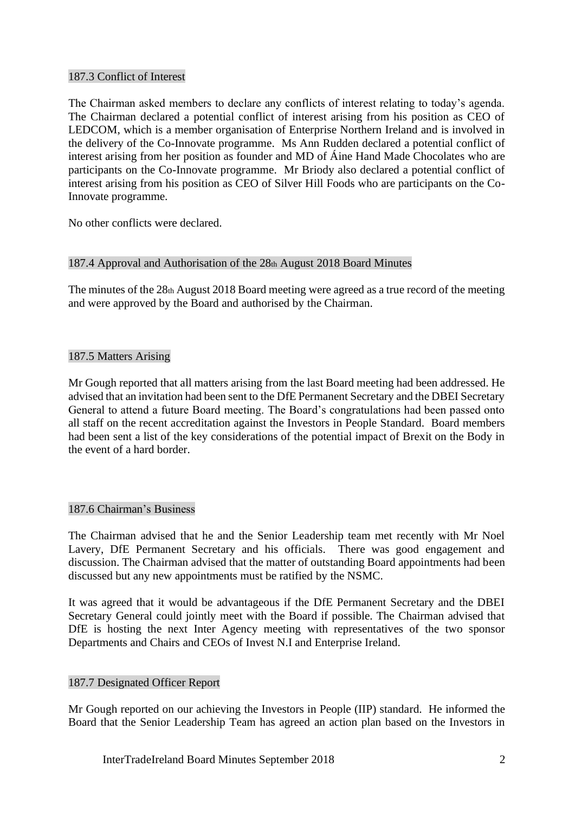## 187.3 Conflict of Interest

The Chairman asked members to declare any conflicts of interest relating to today's agenda. The Chairman declared a potential conflict of interest arising from his position as CEO of LEDCOM, which is a member organisation of Enterprise Northern Ireland and is involved in the delivery of the Co-Innovate programme. Ms Ann Rudden declared a potential conflict of interest arising from her position as founder and MD of Áine Hand Made Chocolates who are participants on the Co-Innovate programme. Mr Briody also declared a potential conflict of interest arising from his position as CEO of Silver Hill Foods who are participants on the Co-Innovate programme.

No other conflicts were declared.

## 187.4 Approval and Authorisation of the 28th August 2018 Board Minutes

The minutes of the 28th August 2018 Board meeting were agreed as a true record of the meeting and were approved by the Board and authorised by the Chairman.

## 187.5 Matters Arising

Mr Gough reported that all matters arising from the last Board meeting had been addressed. He advised that an invitation had been sent to the DfE Permanent Secretary and the DBEI Secretary General to attend a future Board meeting. The Board's congratulations had been passed onto all staff on the recent accreditation against the Investors in People Standard. Board members had been sent a list of the key considerations of the potential impact of Brexit on the Body in the event of a hard border.

### 187.6 Chairman's Business

The Chairman advised that he and the Senior Leadership team met recently with Mr Noel Lavery, DfE Permanent Secretary and his officials. There was good engagement and discussion. The Chairman advised that the matter of outstanding Board appointments had been discussed but any new appointments must be ratified by the NSMC.

It was agreed that it would be advantageous if the DfE Permanent Secretary and the DBEI Secretary General could jointly meet with the Board if possible. The Chairman advised that DfE is hosting the next Inter Agency meeting with representatives of the two sponsor Departments and Chairs and CEOs of Invest N.I and Enterprise Ireland.

### 187.7 Designated Officer Report

Mr Gough reported on our achieving the Investors in People (IIP) standard. He informed the Board that the Senior Leadership Team has agreed an action plan based on the Investors in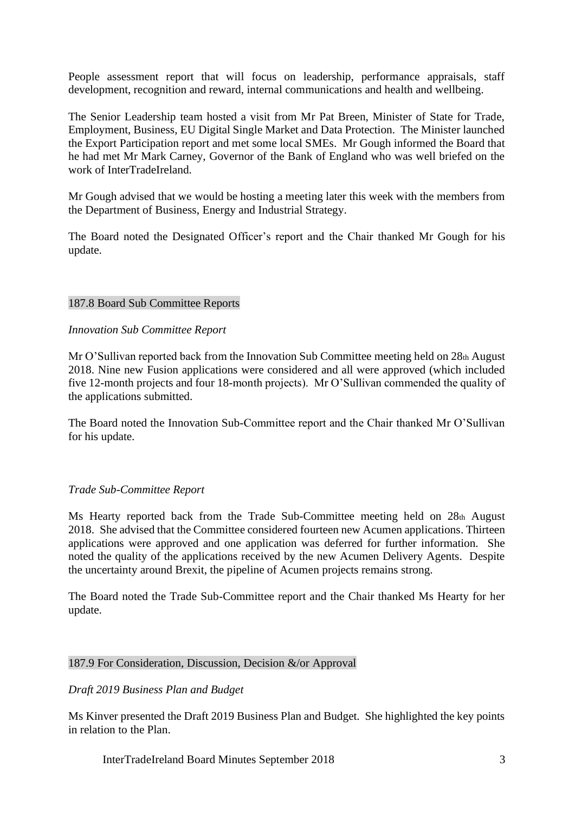People assessment report that will focus on leadership, performance appraisals, staff development, recognition and reward, internal communications and health and wellbeing.

The Senior Leadership team hosted a visit from Mr Pat Breen, Minister of State for Trade, Employment, Business, EU Digital Single Market and Data Protection. The Minister launched the Export Participation report and met some local SMEs. Mr Gough informed the Board that he had met Mr Mark Carney, Governor of the Bank of England who was well briefed on the work of InterTradeIreland.

Mr Gough advised that we would be hosting a meeting later this week with the members from the Department of Business, Energy and Industrial Strategy.

The Board noted the Designated Officer's report and the Chair thanked Mr Gough for his update.

#### 187.8 Board Sub Committee Reports

#### *Innovation Sub Committee Report*

Mr O'Sullivan reported back from the Innovation Sub Committee meeting held on 28th August 2018. Nine new Fusion applications were considered and all were approved (which included five 12-month projects and four 18-month projects). Mr O'Sullivan commended the quality of the applications submitted.

The Board noted the Innovation Sub-Committee report and the Chair thanked Mr O'Sullivan for his update.

### *Trade Sub-Committee Report*

Ms Hearty reported back from the Trade Sub-Committee meeting held on 28th August 2018. She advised that the Committee considered fourteen new Acumen applications. Thirteen applications were approved and one application was deferred for further information. She noted the quality of the applications received by the new Acumen Delivery Agents. Despite the uncertainty around Brexit, the pipeline of Acumen projects remains strong.

The Board noted the Trade Sub-Committee report and the Chair thanked Ms Hearty for her update.

### 187.9 For Consideration, Discussion, Decision &/or Approval

#### *Draft 2019 Business Plan and Budget*

Ms Kinver presented the Draft 2019 Business Plan and Budget. She highlighted the key points in relation to the Plan.

InterTradeIreland Board Minutes September 2018 3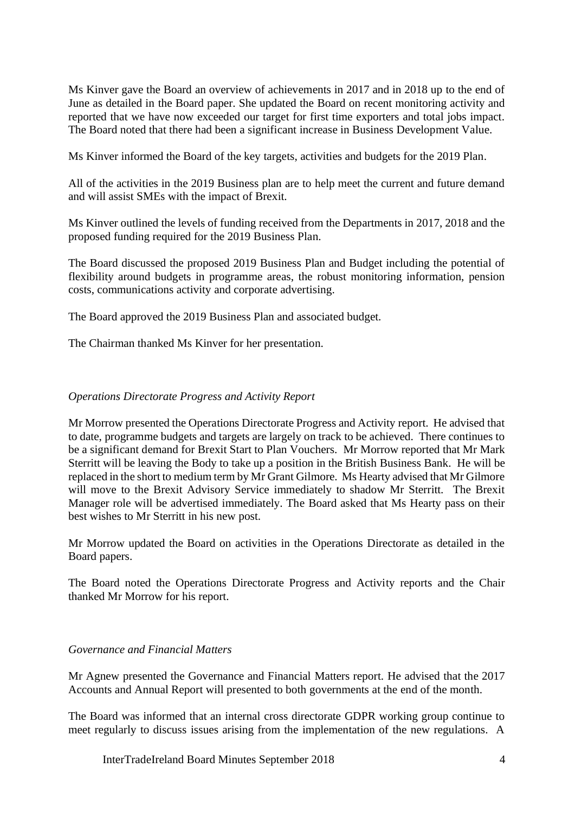Ms Kinver gave the Board an overview of achievements in 2017 and in 2018 up to the end of June as detailed in the Board paper. She updated the Board on recent monitoring activity and reported that we have now exceeded our target for first time exporters and total jobs impact. The Board noted that there had been a significant increase in Business Development Value.

Ms Kinver informed the Board of the key targets, activities and budgets for the 2019 Plan.

All of the activities in the 2019 Business plan are to help meet the current and future demand and will assist SMEs with the impact of Brexit.

Ms Kinver outlined the levels of funding received from the Departments in 2017, 2018 and the proposed funding required for the 2019 Business Plan.

The Board discussed the proposed 2019 Business Plan and Budget including the potential of flexibility around budgets in programme areas, the robust monitoring information, pension costs, communications activity and corporate advertising.

The Board approved the 2019 Business Plan and associated budget.

The Chairman thanked Ms Kinver for her presentation.

## *Operations Directorate Progress and Activity Report*

Mr Morrow presented the Operations Directorate Progress and Activity report. He advised that to date, programme budgets and targets are largely on track to be achieved. There continues to be a significant demand for Brexit Start to Plan Vouchers. Mr Morrow reported that Mr Mark Sterritt will be leaving the Body to take up a position in the British Business Bank. He will be replaced in the short to medium term by Mr Grant Gilmore. Ms Hearty advised that Mr Gilmore will move to the Brexit Advisory Service immediately to shadow Mr Sterritt. The Brexit Manager role will be advertised immediately. The Board asked that Ms Hearty pass on their best wishes to Mr Sterritt in his new post.

Mr Morrow updated the Board on activities in the Operations Directorate as detailed in the Board papers.

The Board noted the Operations Directorate Progress and Activity reports and the Chair thanked Mr Morrow for his report.

## *Governance and Financial Matters*

Mr Agnew presented the Governance and Financial Matters report. He advised that the 2017 Accounts and Annual Report will presented to both governments at the end of the month.

The Board was informed that an internal cross directorate GDPR working group continue to meet regularly to discuss issues arising from the implementation of the new regulations. A

InterTradeIreland Board Minutes September 2018 4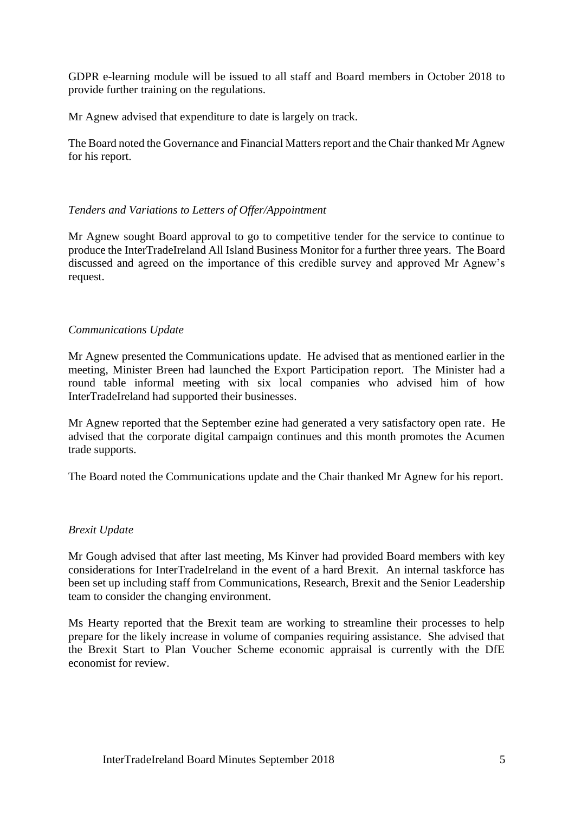GDPR e-learning module will be issued to all staff and Board members in October 2018 to provide further training on the regulations.

Mr Agnew advised that expenditure to date is largely on track.

The Board noted the Governance and Financial Matters report and the Chair thanked Mr Agnew for his report.

# *Tenders and Variations to Letters of Offer/Appointment*

Mr Agnew sought Board approval to go to competitive tender for the service to continue to produce the InterTradeIreland All Island Business Monitor for a further three years. The Board discussed and agreed on the importance of this credible survey and approved Mr Agnew's request.

## *Communications Update*

Mr Agnew presented the Communications update. He advised that as mentioned earlier in the meeting, Minister Breen had launched the Export Participation report. The Minister had a round table informal meeting with six local companies who advised him of how InterTradeIreland had supported their businesses.

Mr Agnew reported that the September ezine had generated a very satisfactory open rate. He advised that the corporate digital campaign continues and this month promotes the Acumen trade supports.

The Board noted the Communications update and the Chair thanked Mr Agnew for his report.

### *Brexit Update*

Mr Gough advised that after last meeting, Ms Kinver had provided Board members with key considerations for InterTradeIreland in the event of a hard Brexit. An internal taskforce has been set up including staff from Communications, Research, Brexit and the Senior Leadership team to consider the changing environment.

Ms Hearty reported that the Brexit team are working to streamline their processes to help prepare for the likely increase in volume of companies requiring assistance. She advised that the Brexit Start to Plan Voucher Scheme economic appraisal is currently with the DfE economist for review.